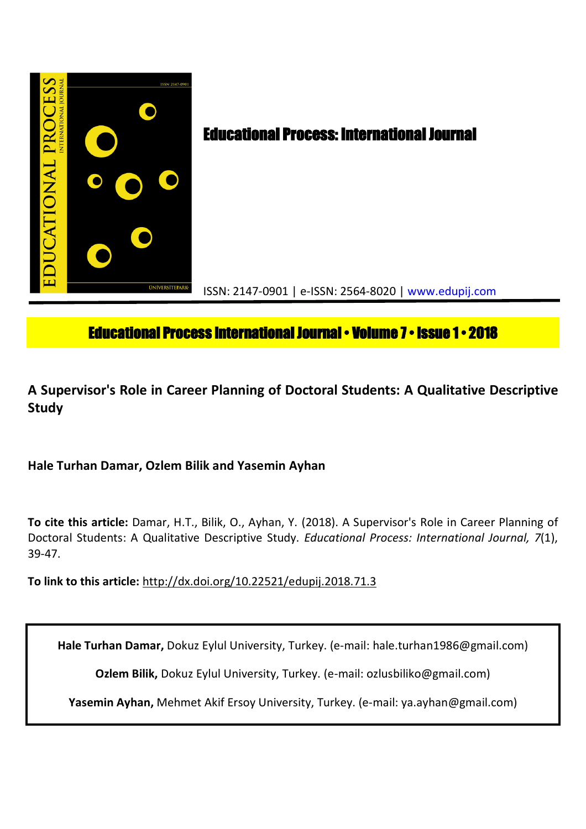

# **Educational Process International Journal • Volume 7 • Issue 1 • 2018**

## **A Supervisor's Role in Career Planning of Doctoral Students: A Qualitative Descriptive Study**

**Hale Turhan Damar, Ozlem Bilik and Yasemin Ayhan**

**To cite this article:** Damar, H.T., Bilik, O., Ayhan, Y. (2018). A Supervisor's Role in Career Planning of Doctoral Students: A Qualitative Descriptive Study. *Educational Process: International Journal, 7*(1), 39-47.

**To link to this article:** http://dx.doi.org/10.22521/edupij.2018.71.3

**Hale Turhan Damar,** Dokuz Eylul University, Turkey. (e-mail: hale.turhan1986@gmail.com)

**Ozlem Bilik,** Dokuz Eylul University, Turkey. (e-mail: ozlusbiliko@gmail.com)

**Yasemin Ayhan,** Mehmet Akif Ersoy University, Turkey. (e-mail: ya.ayhan@gmail.com)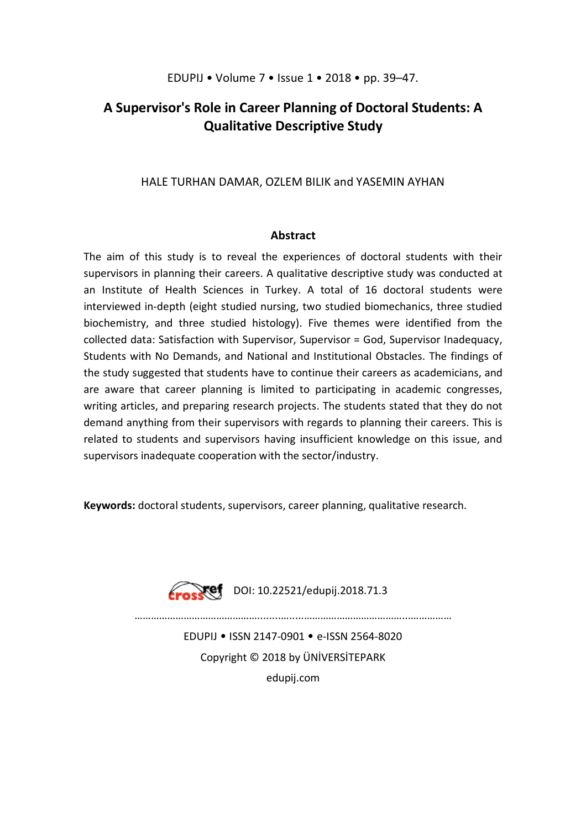## **A Supervisor's Role in Career Planning of Doctoral Students: A Qualitative Descriptive Study**

## HALE TURHAN DAMAR, OZLEM BILIK and YASEMIN AYHAN

## **Abstract**

The aim of this study is to reveal the experiences of doctoral students with their supervisors in planning their careers. A qualitative descriptive study was conducted at an Institute of Health Sciences in Turkey. A total of 16 doctoral students were interviewed in-depth (eight studied nursing, two studied biomechanics, three studied biochemistry, and three studied histology). Five themes were identified from the collected data: Satisfaction with Supervisor, Supervisor = God, Supervisor Inadequacy, Students with No Demands, and National and Institutional Obstacles. The findings of the study suggested that students have to continue their careers as academicians, and are aware that career planning is limited to participating in academic congresses, writing articles, and preparing research projects. The students stated that they do not demand anything from their supervisors with regards to planning their careers. This is related to students and supervisors having insufficient knowledge on this issue, and supervisors inadequate cooperation with the sector/industry.

**Keywords:** doctoral students, supervisors, career planning, qualitative research.



**Tef** DOI: 10.22521/edupij.2018.71.3

………………………………………........….....………………………………...……………

EDUPIJ • ISSN 2147-0901 • e-ISSN 2564-8020 Copyright © 2018 by ÜNİVERSİTEPARK edupij.com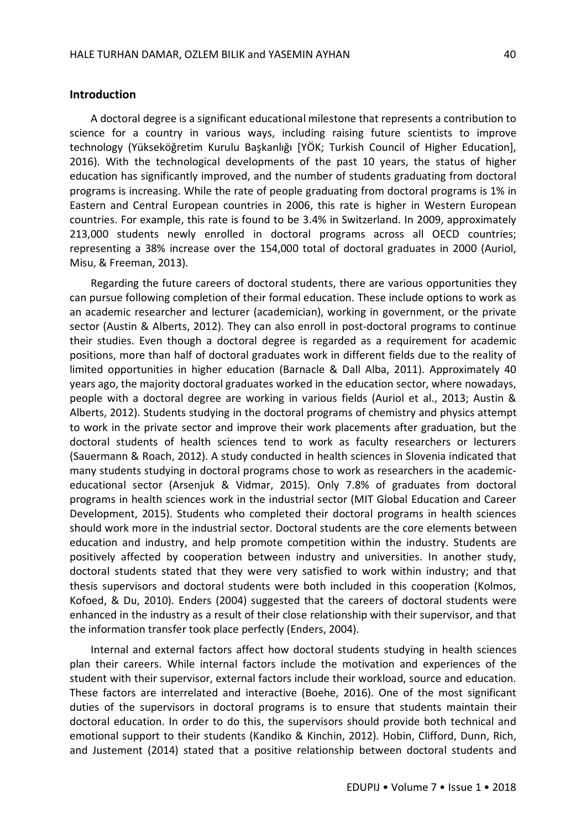### **Introduction**

A doctoral degree is a significant educational milestone that represents a contribution to science for a country in various ways, including raising future scientists to improve technology (Yükseköğretim Kurulu Başkanlığı [YÖK; Turkish Council of Higher Education], 2016). With the technological developments of the past 10 years, the status of higher education has significantly improved, and the number of students graduating from doctoral programs is increasing. While the rate of people graduating from doctoral programs is 1% in Eastern and Central European countries in 2006, this rate is higher in Western European countries. For example, this rate is found to be 3.4% in Switzerland. In 2009, approximately 213,000 students newly enrolled in doctoral programs across all OECD countries; representing a 38% increase over the 154,000 total of doctoral graduates in 2000 (Auriol, Misu, & Freeman, 2013).

Regarding the future careers of doctoral students, there are various opportunities they can pursue following completion of their formal education. These include options to work as an academic researcher and lecturer (academician), working in government, or the private sector (Austin & Alberts, 2012). They can also enroll in post-doctoral programs to continue their studies. Even though a doctoral degree is regarded as a requirement for academic positions, more than half of doctoral graduates work in different fields due to the reality of limited opportunities in higher education (Barnacle & Dall Alba, 2011). Approximately 40 years ago, the majority doctoral graduates worked in the education sector, where nowadays, people with a doctoral degree are working in various fields (Auriol et al., 2013; Austin & Alberts, 2012). Students studying in the doctoral programs of chemistry and physics attempt to work in the private sector and improve their work placements after graduation, but the doctoral students of health sciences tend to work as faculty researchers or lecturers (Sauermann & Roach, 2012). A study conducted in health sciences in Slovenia indicated that many students studying in doctoral programs chose to work as researchers in the academiceducational sector (Arsenjuk & Vidmar, 2015). Only 7.8% of graduates from doctoral programs in health sciences work in the industrial sector (MIT Global Education and Career Development, 2015). Students who completed their doctoral programs in health sciences should work more in the industrial sector. Doctoral students are the core elements between education and industry, and help promote competition within the industry. Students are positively affected by cooperation between industry and universities. In another study, doctoral students stated that they were very satisfied to work within industry; and that thesis supervisors and doctoral students were both included in this cooperation (Kolmos, Kofoed, & Du, 2010). Enders (2004) suggested that the careers of doctoral students were enhanced in the industry as a result of their close relationship with their supervisor, and that the information transfer took place perfectly (Enders, 2004).

Internal and external factors affect how doctoral students studying in health sciences plan their careers. While internal factors include the motivation and experiences of the student with their supervisor, external factors include their workload, source and education. These factors are interrelated and interactive (Boehe, 2016). One of the most significant duties of the supervisors in doctoral programs is to ensure that students maintain their doctoral education. In order to do this, the supervisors should provide both technical and emotional support to their students (Kandiko & Kinchin, 2012). Hobin, Clifford, Dunn, Rich, and Justement (2014) stated that a positive relationship between doctoral students and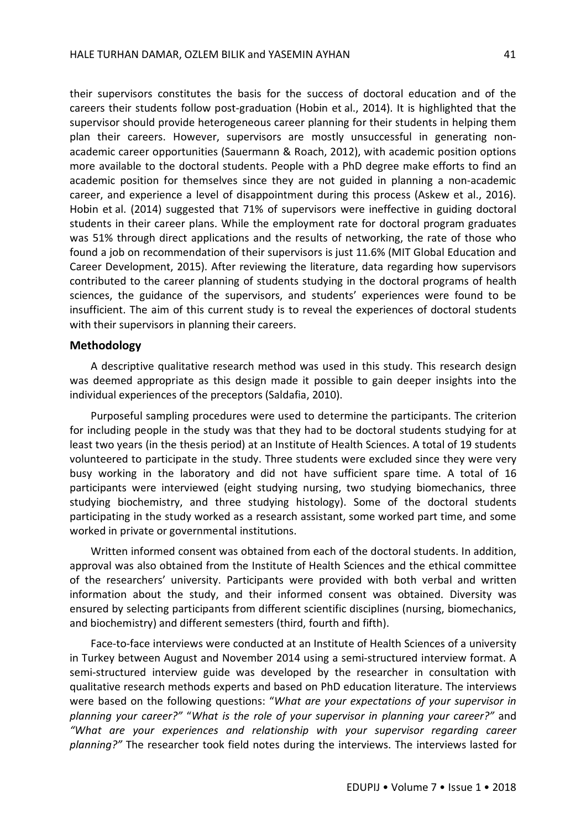their supervisors constitutes the basis for the success of doctoral education and of the careers their students follow post-graduation (Hobin et al., 2014). It is highlighted that the supervisor should provide heterogeneous career planning for their students in helping them plan their careers. However, supervisors are mostly unsuccessful in generating nonacademic career opportunities (Sauermann & Roach, 2012), with academic position options more available to the doctoral students. People with a PhD degree make efforts to find an academic position for themselves since they are not guided in planning a non-academic career, and experience a level of disappointment during this process (Askew et al., 2016). Hobin et al. (2014) suggested that 71% of supervisors were ineffective in guiding doctoral students in their career plans. While the employment rate for doctoral program graduates was 51% through direct applications and the results of networking, the rate of those who found a job on recommendation of their supervisors is just 11.6% (MIT Global Education and Career Development, 2015). After reviewing the literature, data regarding how supervisors contributed to the career planning of students studying in the doctoral programs of health sciences, the guidance of the supervisors, and students' experiences were found to be insufficient. The aim of this current study is to reveal the experiences of doctoral students with their supervisors in planning their careers.

## **Methodology**

A descriptive qualitative research method was used in this study. This research design was deemed appropriate as this design made it possible to gain deeper insights into the individual experiences of the preceptors (Saldafia, 2010).

Purposeful sampling procedures were used to determine the participants. The criterion for including people in the study was that they had to be doctoral students studying for at least two years (in the thesis period) at an Institute of Health Sciences. A total of 19 students volunteered to participate in the study. Three students were excluded since they were very busy working in the laboratory and did not have sufficient spare time. A total of 16 participants were interviewed (eight studying nursing, two studying biomechanics, three studying biochemistry, and three studying histology). Some of the doctoral students participating in the study worked as a research assistant, some worked part time, and some worked in private or governmental institutions.

Written informed consent was obtained from each of the doctoral students. In addition, approval was also obtained from the Institute of Health Sciences and the ethical committee of the researchers' university. Participants were provided with both verbal and written information about the study, and their informed consent was obtained. Diversity was ensured by selecting participants from different scientific disciplines (nursing, biomechanics, and biochemistry) and different semesters (third, fourth and fifth).

Face-to-face interviews were conducted at an Institute of Health Sciences of a university in Turkey between August and November 2014 using a semi-structured interview format. A semi-structured interview guide was developed by the researcher in consultation with qualitative research methods experts and based on PhD education literature. The interviews were based on the following questions: "*What are your expectations of your supervisor in planning your career?"* "*What is the role of your supervisor in planning your career?"* and *"What are your experiences and relationship with your supervisor regarding career planning?"* The researcher took field notes during the interviews. The interviews lasted for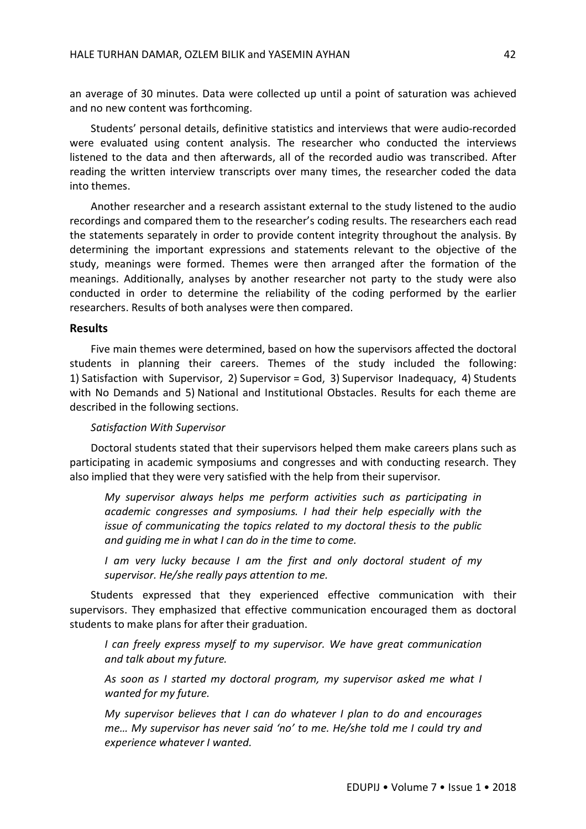an average of 30 minutes. Data were collected up until a point of saturation was achieved and no new content was forthcoming.

Students' personal details, definitive statistics and interviews that were audio-recorded were evaluated using content analysis. The researcher who conducted the interviews listened to the data and then afterwards, all of the recorded audio was transcribed. After reading the written interview transcripts over many times, the researcher coded the data into themes.

Another researcher and a research assistant external to the study listened to the audio recordings and compared them to the researcher's coding results. The researchers each read the statements separately in order to provide content integrity throughout the analysis. By determining the important expressions and statements relevant to the objective of the study, meanings were formed. Themes were then arranged after the formation of the meanings. Additionally, analyses by another researcher not party to the study were also conducted in order to determine the reliability of the coding performed by the earlier researchers. Results of both analyses were then compared.

## **Results**

Five main themes were determined, based on how the supervisors affected the doctoral students in planning their careers. Themes of the study included the following: 1) Satisfaction with Supervisor, 2) Supervisor = God, 3) Supervisor Inadequacy, 4) Students with No Demands and 5) National and Institutional Obstacles. Results for each theme are described in the following sections.

### *Satisfaction With Supervisor*

Doctoral students stated that their supervisors helped them make careers plans such as participating in academic symposiums and congresses and with conducting research. They also implied that they were very satisfied with the help from their supervisor.

*My supervisor always helps me perform activities such as participating in academic congresses and symposiums. I had their help especially with the issue of communicating the topics related to my doctoral thesis to the public and guiding me in what I can do in the time to come.*

*I am very lucky because I am the first and only doctoral student of my supervisor. He/she really pays attention to me.*

Students expressed that they experienced effective communication with their supervisors. They emphasized that effective communication encouraged them as doctoral students to make plans for after their graduation.

*I can freely express myself to my supervisor. We have great communication and talk about my future.*

*As soon as I started my doctoral program, my supervisor asked me what I wanted for my future.*

*My supervisor believes that I can do whatever I plan to do and encourages me… My supervisor has never said 'no' to me. He/she told me I could try and experience whatever I wanted.*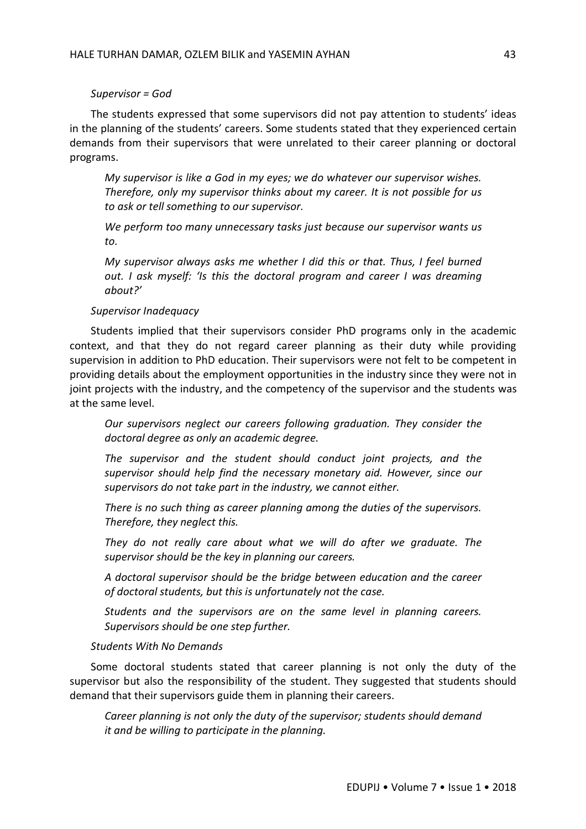## *Supervisor = God*

The students expressed that some supervisors did not pay attention to students' ideas in the planning of the students' careers. Some students stated that they experienced certain demands from their supervisors that were unrelated to their career planning or doctoral programs.

*My supervisor is like a God in my eyes; we do whatever our supervisor wishes. Therefore, only my supervisor thinks about my career. It is not possible for us to ask or tell something to our supervisor.*

*We perform too many unnecessary tasks just because our supervisor wants us to.*

*My supervisor always asks me whether I did this or that. Thus, I feel burned out. I ask myself: 'Is this the doctoral program and career I was dreaming about?'*

## *Supervisor Inadequacy*

Students implied that their supervisors consider PhD programs only in the academic context, and that they do not regard career planning as their duty while providing supervision in addition to PhD education. Their supervisors were not felt to be competent in providing details about the employment opportunities in the industry since they were not in joint projects with the industry, and the competency of the supervisor and the students was at the same level.

*Our supervisors neglect our careers following graduation. They consider the doctoral degree as only an academic degree.*

*The supervisor and the student should conduct joint projects, and the supervisor should help find the necessary monetary aid. However, since our supervisors do not take part in the industry, we cannot either.*

*There is no such thing as career planning among the duties of the supervisors. Therefore, they neglect this.*

*They do not really care about what we will do after we graduate. The supervisor should be the key in planning our careers.*

*A doctoral supervisor should be the bridge between education and the career of doctoral students, but this is unfortunately not the case.*

*Students and the supervisors are on the same level in planning careers. Supervisors should be one step further.*

#### *Students With No Demands*

Some doctoral students stated that career planning is not only the duty of the supervisor but also the responsibility of the student. They suggested that students should demand that their supervisors guide them in planning their careers.

*Career planning is not only the duty of the supervisor; students should demand it and be willing to participate in the planning.*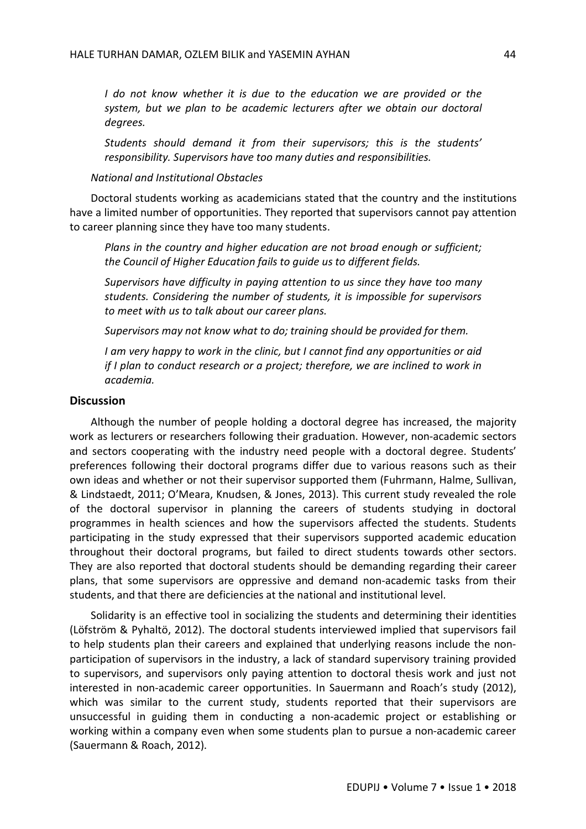*I* do not know whether it is due to the education we are provided or the *system, but we plan to be academic lecturers after we obtain our doctoral degrees.*

*Students should demand it from their supervisors; this is the students' responsibility. Supervisors have too many duties and responsibilities.*

## *National and Institutional Obstacles*

Doctoral students working as academicians stated that the country and the institutions have a limited number of opportunities. They reported that supervisors cannot pay attention to career planning since they have too many students.

*Plans in the country and higher education are not broad enough or sufficient; the Council of Higher Education fails to guide us to different fields.*

*Supervisors have difficulty in paying attention to us since they have too many students. Considering the number of students, it is impossible for supervisors to meet with us to talk about our career plans.*

*Supervisors may not know what to do; training should be provided for them.*

*I am very happy to work in the clinic, but I cannot find any opportunities or aid if I plan to conduct research or a project; therefore, we are inclined to work in academia.*

## **Discussion**

Although the number of people holding a doctoral degree has increased, the majority work as lecturers or researchers following their graduation. However, non-academic sectors and sectors cooperating with the industry need people with a doctoral degree. Students' preferences following their doctoral programs differ due to various reasons such as their own ideas and whether or not their supervisor supported them (Fuhrmann, Halme, Sullivan, & Lindstaedt, 2011; O'Meara, Knudsen, & Jones, 2013). This current study revealed the role of the doctoral supervisor in planning the careers of students studying in doctoral programmes in health sciences and how the supervisors affected the students. Students participating in the study expressed that their supervisors supported academic education throughout their doctoral programs, but failed to direct students towards other sectors. They are also reported that doctoral students should be demanding regarding their career plans, that some supervisors are oppressive and demand non-academic tasks from their students, and that there are deficiencies at the national and institutional level.

Solidarity is an effective tool in socializing the students and determining their identities (Löfström & Pyhaltö, 2012). The doctoral students interviewed implied that supervisors fail to help students plan their careers and explained that underlying reasons include the nonparticipation of supervisors in the industry, a lack of standard supervisory training provided to supervisors, and supervisors only paying attention to doctoral thesis work and just not interested in non-academic career opportunities. In Sauermann and Roach's study (2012), which was similar to the current study, students reported that their supervisors are unsuccessful in guiding them in conducting a non-academic project or establishing or working within a company even when some students plan to pursue a non-academic career (Sauermann & Roach, 2012).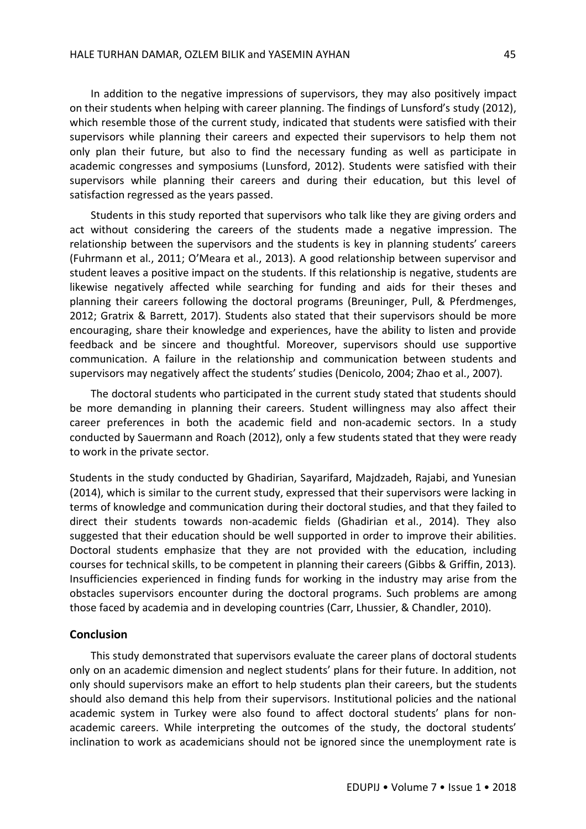In addition to the negative impressions of supervisors, they may also positively impact on their students when helping with career planning. The findings of Lunsford's study (2012), which resemble those of the current study, indicated that students were satisfied with their supervisors while planning their careers and expected their supervisors to help them not only plan their future, but also to find the necessary funding as well as participate in academic congresses and symposiums (Lunsford, 2012). Students were satisfied with their supervisors while planning their careers and during their education, but this level of satisfaction regressed as the years passed.

Students in this study reported that supervisors who talk like they are giving orders and act without considering the careers of the students made a negative impression. The relationship between the supervisors and the students is key in planning students' careers (Fuhrmann et al., 2011; O'Meara et al., 2013). A good relationship between supervisor and student leaves a positive impact on the students. If this relationship is negative, students are likewise negatively affected while searching for funding and aids for their theses and planning their careers following the doctoral programs (Breuninger, Pull, & Pferdmenges, 2012; Gratrix & Barrett, 2017). Students also stated that their supervisors should be more encouraging, share their knowledge and experiences, have the ability to listen and provide feedback and be sincere and thoughtful. Moreover, supervisors should use supportive communication. A failure in the relationship and communication between students and supervisors may negatively affect the students' studies (Denicolo, 2004; Zhao et al., 2007).

The doctoral students who participated in the current study stated that students should be more demanding in planning their careers. Student willingness may also affect their career preferences in both the academic field and non-academic sectors. In a study conducted by Sauermann and Roach (2012), only a few students stated that they were ready to work in the private sector.

Students in the study conducted by Ghadirian, Sayarifard, Majdzadeh, Rajabi, and Yunesian (2014), which is similar to the current study, expressed that their supervisors were lacking in terms of knowledge and communication during their doctoral studies, and that they failed to direct their students towards non-academic fields (Ghadirian et al., 2014). They also suggested that their education should be well supported in order to improve their abilities. Doctoral students emphasize that they are not provided with the education, including courses for technical skills, to be competent in planning their careers (Gibbs & Griffin, 2013). Insufficiencies experienced in finding funds for working in the industry may arise from the obstacles supervisors encounter during the doctoral programs. Such problems are among those faced by academia and in developing countries (Carr, Lhussier, & Chandler, 2010).

## **Conclusion**

This study demonstrated that supervisors evaluate the career plans of doctoral students only on an academic dimension and neglect students' plans for their future. In addition, not only should supervisors make an effort to help students plan their careers, but the students should also demand this help from their supervisors. Institutional policies and the national academic system in Turkey were also found to affect doctoral students' plans for nonacademic careers. While interpreting the outcomes of the study, the doctoral students' inclination to work as academicians should not be ignored since the unemployment rate is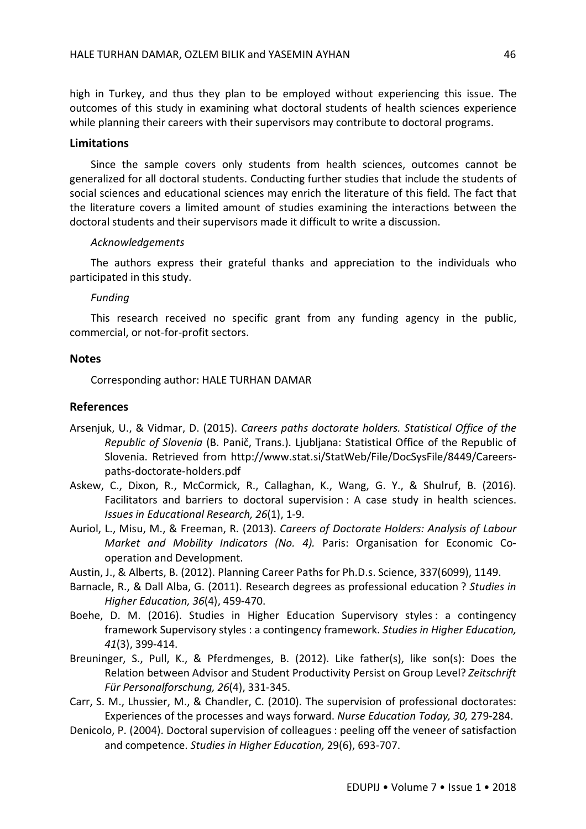high in Turkey, and thus they plan to be employed without experiencing this issue. The outcomes of this study in examining what doctoral students of health sciences experience while planning their careers with their supervisors may contribute to doctoral programs.

## **Limitations**

Since the sample covers only students from health sciences, outcomes cannot be generalized for all doctoral students. Conducting further studies that include the students of social sciences and educational sciences may enrich the literature of this field. The fact that the literature covers a limited amount of studies examining the interactions between the doctoral students and their supervisors made it difficult to write a discussion.

### *Acknowledgements*

The authors express their grateful thanks and appreciation to the individuals who participated in this study.

## *Funding*

This research received no specific grant from any funding agency in the public, commercial, or not-for-profit sectors.

#### **Notes**

Corresponding author: HALE TURHAN DAMAR

## **References**

- Arsenjuk, U., & Vidmar, D. (2015). *Careers paths doctorate holders. Statistical Office of the Republic of Slovenia* (B. Panič, Trans.). Ljubljana: Statistical Office of the Republic of Slovenia. Retrieved from http://www.stat.si/StatWeb/File/DocSysFile/8449/Careerspaths-doctorate-holders.pdf
- Askew, C., Dixon, R., McCormick, R., Callaghan, K., Wang, G. Y., & Shulruf, B. (2016). Facilitators and barriers to doctoral supervision : A case study in health sciences. *Issues in Educational Research, 26*(1), 1-9.
- Auriol, L., Misu, M., & Freeman, R. (2013). *Careers of Doctorate Holders: Analysis of Labour Market and Mobility Indicators (No. 4).* Paris: Organisation for Economic Cooperation and Development.
- Austin, J., & Alberts, B. (2012). Planning Career Paths for Ph.D.s. Science, 337(6099), 1149.
- Barnacle, R., & Dall Alba, G. (2011). Research degrees as professional education ? *Studies in Higher Education, 36*(4), 459-470.
- Boehe, D. M. (2016). Studies in Higher Education Supervisory styles : a contingency framework Supervisory styles : a contingency framework. *Studies in Higher Education, 41*(3), 399-414.
- Breuninger, S., Pull, K., & Pferdmenges, B. (2012). Like father(s), like son(s): Does the Relation between Advisor and Student Productivity Persist on Group Level? *Zeitschrift Für Personalforschung, 26*(4), 331-345.
- Carr, S. M., Lhussier, M., & Chandler, C. (2010). The supervision of professional doctorates: Experiences of the processes and ways forward. *Nurse Education Today, 30,* 279-284.
- Denicolo, P. (2004). Doctoral supervision of colleagues : peeling off the veneer of satisfaction and competence. *Studies in Higher Education,* 29(6), 693-707.